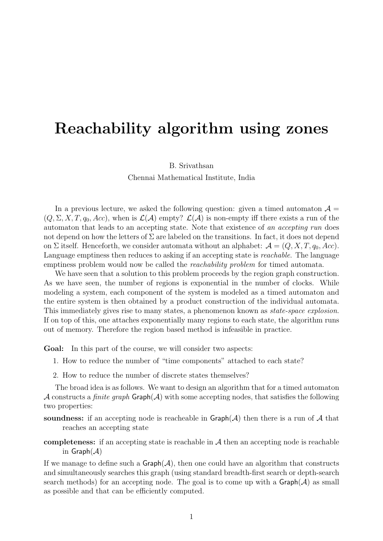# Reachability algorithm using zones

B. Srivathsan

Chennai Mathematical Institute, India

In a previous lecture, we asked the following question: given a timed automaton  $\mathcal{A} =$  $(Q, \Sigma, X, T, q_0, Acc)$ , when is  $\mathcal{L}(\mathcal{A})$  empty?  $\mathcal{L}(\mathcal{A})$  is non-empty iff there exists a run of the automaton that leads to an accepting state. Note that existence of an accepting run does not depend on how the letters of  $\Sigma$  are labeled on the transitions. In fact, it does not depend on  $\Sigma$  itself. Henceforth, we consider automata without an alphabet:  $\mathcal{A} = (Q, X, T, q_0, Acc)$ . Language emptiness then reduces to asking if an accepting state is *reachable*. The language emptiness problem would now be called the *reachability problem* for timed automata.

We have seen that a solution to this problem proceeds by the region graph construction. As we have seen, the number of regions is exponential in the number of clocks. While modeling a system, each component of the system is modeled as a timed automaton and the entire system is then obtained by a product construction of the individual automata. This immediately gives rise to many states, a phenomenon known as *state-space explosion*. If on top of this, one attaches exponentially many regions to each state, the algorithm runs out of memory. Therefore the region based method is infeasible in practice.

Goal: In this part of the course, we will consider two aspects:

- 1. How to reduce the number of "time components" attached to each state?
- 2. How to reduce the number of discrete states themselves?

The broad idea is as follows. We want to design an algorithm that for a timed automaton A constructs a *finite graph*  $Graph(A)$  with some accepting nodes, that satisfies the following two properties:

soundness: if an accepting node is reacheable in  $\mathsf{Graph}(\mathcal{A})$  then there is a run of  $\mathcal A$  that reaches an accepting state

completeness: if an accepting state is reachable in  $A$  then an accepting node is reachable in  $Graph(\mathcal{A})$ 

If we manage to define such a  $\mathsf{Graph}(\mathcal{A})$ , then one could have an algorithm that constructs and simultaneously searches this graph (using standard breadth-first search or depth-search search methods) for an accepting node. The goal is to come up with a  $\mathsf{Graph}(\mathcal{A})$  as small as possible and that can be efficiently computed.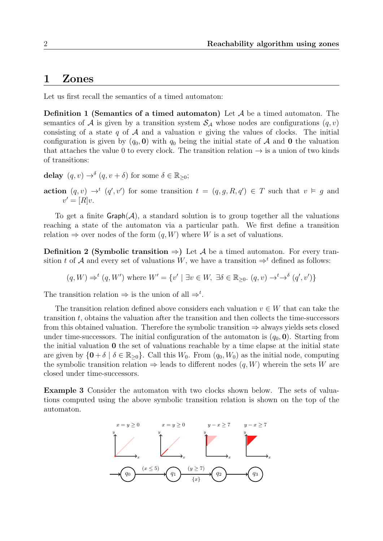### 1 Zones

<span id="page-1-2"></span>Let us first recall the semantics of a timed automaton:

**Definition 1 (Semantics of a timed automaton)** Let  $A$  be a timed automaton. The semantics of A is given by a transition system  $S_A$  whose nodes are configurations  $(q, v)$ consisting of a state q of  $A$  and a valuation v giving the values of clocks. The initial configuration is given by  $(q_0, 0)$  with  $q_0$  being the initial state of A and 0 the valuation that attaches the value 0 to every clock. The transition relation  $\rightarrow$  is a union of two kinds of transitions:

delay  $(q, v) \rightarrow^{\delta} (q, v + \delta)$  for some  $\delta \in \mathbb{R}_{\geq 0}$ ;

action  $(q, v) \rightarrow^t (q', v')$  for some transition  $t = (q, g, R, q') \in T$  such that  $v \vDash g$  and  $v' = [R]v.$ 

To get a finite  $\mathsf{Graph}(\mathcal{A})$ , a standard solution is to group together all the valuations reaching a state of the automaton via a particular path. We first define a transition relation  $\Rightarrow$  over nodes of the form  $(q, W)$  where W is a set of valuations.

<span id="page-1-1"></span>**Definition 2 (Symbolic transition**  $\Rightarrow$ **)** Let A be a timed automaton. For every transition t of A and every set of valuations W, we have a transition  $\Rightarrow$ <sup>t</sup> defined as follows:

$$
(q, W) \Rightarrow^t (q, W')
$$
 where  $W' = \{v' \mid \exists v \in W, \exists \delta \in \mathbb{R}_{\geq 0}.\ (q, v) \rightarrow^t \rightarrow^{\delta} (q', v')\}$ 

The transition relation  $\Rightarrow$  is the union of all  $\Rightarrow^t$ .

The transition relation defined above considers each valuation  $v \in W$  that can take the transition  $t$ , obtains the valuation after the transition and then collects the time-successors from this obtained valuation. Therefore the symbolic transition  $\Rightarrow$  always yields sets closed under time-successors. The initial configuration of the automaton is  $(q_0, 0)$ . Starting from the initial valuation 0 the set of valuations reachable by a time elapse at the initial state are given by  $\{0 + \delta \mid \delta \in \mathbb{R}_{\geq 0}\}$ . Call this  $W_0$ . From  $(q_0, W_0)$  as the initial node, computing the symbolic transition relation  $\Rightarrow$  leads to different nodes  $(q, W)$  wherein the sets W are closed under time-successors.

<span id="page-1-0"></span>Example 3 Consider the automaton with two clocks shown below. The sets of valuations computed using the above symbolic transition relation is shown on the top of the automaton.

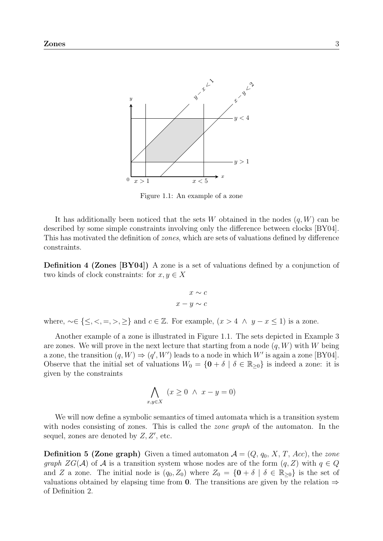<span id="page-2-0"></span>

Figure 1.1: An example of a zone

It has additionally been noticed that the sets W obtained in the nodes  $(q, W)$  can be described by some simple constraints involving only the difference between clocks [\[BY04\]](#page-13-0). This has motivated the definition of zones, which are sets of valuations defined by difference constraints.

**Definition 4 (Zones [\[BY04\]](#page-13-0))** A zone is a set of valuations defined by a conjunction of two kinds of clock constraints: for  $x, y \in X$ 

$$
x \sim c
$$

$$
x - y \sim c
$$

where,  $\sim \in \{\leq, <, =, >, \geq\}$  and  $c \in \mathbb{Z}$ . For example,  $(x > 4 \land y - x \leq 1)$  is a zone.

Another example of a zone is illustrated in Figure [1.1.](#page-2-0) The sets depicted in Example [3](#page-1-0) are zones. We will prove in the next lecture that starting from a node  $(q, W)$  with W being a zone, the transition  $(q, W) \Rightarrow (q', W')$  leads to a node in which W' is again a zone [\[BY04\]](#page-13-0). Observe that the initial set of valuations  $W_0 = \{0 + \delta \mid \delta \in \mathbb{R}_{\geq 0}\}\$ is indeed a zone: it is given by the constraints

$$
\bigwedge_{x,y\in X} (x \ge 0 \ \land \ x - y = 0)
$$

We will now define a symbolic semantics of timed automata which is a transition system with nodes consisting of zones. This is called the *zone graph* of the automaton. In the sequel, zones are denoted by  $Z, Z'$ , etc.

**Definition 5 (Zone graph)** Given a timed automaton  $A = (Q, q_0, X, T, Acc)$ , the zone graph  $ZG(\mathcal{A})$  of  $\mathcal A$  is a transition system whose nodes are of the form  $(q, Z)$  with  $q \in Q$ and Z a zone. The initial node is  $(q_0, Z_0)$  where  $Z_0 = \{0 + \delta \mid \delta \in \mathbb{R}_{\geq 0}\}\$ is the set of valuations obtained by elapsing time from 0. The transitions are given by the relation  $\Rightarrow$ of Definition [2.](#page-1-1)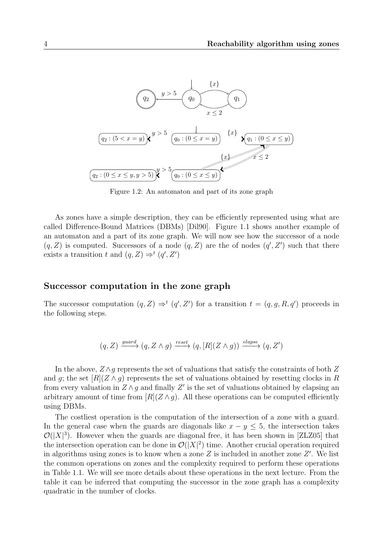

Figure 1.2: An automaton and part of its zone graph

As zones have a simple description, they can be efficiently represented using what are called Difference-Bound Matrices (DBMs) [\[Dil90\]](#page-13-1). Figure [1.1](#page-2-0) shows another example of an automaton and a part of its zone graph. We will now see how the successor of a node  $(q, Z)$  is computed. Successors of a node  $(q, Z)$  are the of nodes  $(q', Z')$  such that there exists a transition t and  $(q, Z) \Rightarrow^t (q', Z')$ 

### Successor computation in the zone graph

The successor computation  $(q, Z) \Rightarrow^t (q', Z')$  for a transition  $t = (q, g, R, q')$  proceeds in the following steps.

$$
(q, Z) \xrightarrow{guard} (q, Z \wedge g) \xrightarrow{reset} (q, [R](Z \wedge g)) \xrightarrow{elapse} (q, Z')
$$

In the above,  $Z \wedge g$  represents the set of valuations that satisfy the constraints of both Z and g; the set  $|R(Z \wedge g)$  represents the set of valuations obtained by resetting clocks in R from every valuation in  $Z \wedge g$  and finally  $Z'$  is the set of valuations obtained by elapsing an arbitrary amount of time from  $[R](Z \wedge g)$ . All these operations can be computed efficiently using DBMs.

The costliest operation is the computation of the intersection of a zone with a guard. In the general case when the guards are diagonals like  $x - y \leq 5$ , the intersection takes  $\mathcal{O}(|X|^3)$ . However when the guards are diagonal free, it has been shown in [\[ZLZ05\]](#page-13-2) that the intersection operation can be done in  $\mathcal{O}(|X|^2)$  time. Another crucial operation required in algorithms using zones is to know when a zone  $Z$  is included in another zone  $Z'$ . We list the common operations on zones and the complexity required to perform these operations in Table [1.1.](#page-4-0) We will see more details about these operations in the next lecture. From the table it can be inferred that computing the successor in the zone graph has a complexity quadratic in the number of clocks.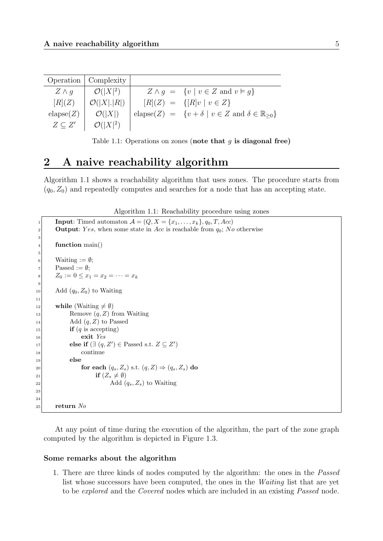<span id="page-4-0"></span>

|                    | Operation   Complexity |                                                                                        |
|--------------------|------------------------|----------------------------------------------------------------------------------------|
| $Z \wedge q$       | $\mathcal{O}( X ^2)$   | $Z \wedge q = \{v \mid v \in Z \text{ and } v \models q\}$                             |
| [R](Z)             | $\mathcal{O}( X . R )$ | $[R](Z) = \{[R]v \mid v \in Z\}$                                                       |
| $\text{elapse}(Z)$ | $\mathcal{O}( X )$     | elapse(Z) = $\{v + \delta \mid v \in Z \text{ and } \delta \in \mathbb{R}_{\geq 0}\}\$ |
| $Z \subset Z'$     | $\mathcal{O}( X ^2)$   |                                                                                        |

Table 1.1: Operations on zones (note that  $g$  is diagonal free)

### 2 A naive reachability algorithm

Algorithm [1.1](#page-4-1) shows a reachability algorithm that uses zones. The procedure starts from  $(q_0, Z_0)$  and repeatedly computes and searches for a node that has an accepting state.

Algorithm 1.1: Reachability procedure using zones

```
Input: Timed automaton \mathcal{A} = (Q, X = \{x_1, \ldots, x_k\}, q_0, T, Acc)2 Output: Yes, when some state in Acc is reachable from q_0; No otherwise
 3
 |4| function main()
 5
 6 Waiting := \emptyset;|7| Passed := \emptyset;
 |8| \t Z_0 := 0 \leq x_1 = x_2 = \cdots = x_k9
_{10} Add (q_0, Z_0) to Waiting
11
12 while (Waiting \neq \emptyset)
13 Remove (q, Z) from Waiting
\text{14} Add (q, Z) to Passed
\text{if } (q \text{ is accepting})|16| exit Yes
17 else if (\exists (q, Z') \in \text{Passed s.t. } Z \subseteq Z')18 continue
|19| else
20 for each (q_s, Z_s) s.t. (q, Z) \Rightarrow (q_s, Z_s) do
21 if (Z_s \neq \emptyset)\text{Add } (q_s, Z_s) \text{ to Waiting}23
24
|25| return No
```
At any point of time during the execution of the algorithm, the part of the zone graph computed by the algorithm is depicted in Figure [1.3.](#page-5-0)

### Some remarks about the algorithm

1. There are three kinds of nodes computed by the algorithm: the ones in the Passed list whose successors have been computed, the ones in the Waiting list that are yet to be explored and the Covered nodes which are included in an existing Passed node.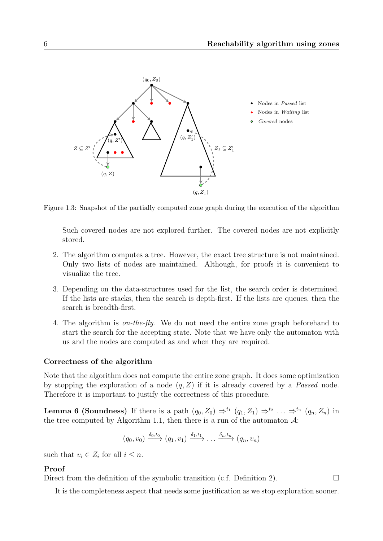<span id="page-5-0"></span>

Figure 1.3: Snapshot of the partially computed zone graph during the execution of the algorithm

Such covered nodes are not explored further. The covered nodes are not explicitly stored.

- 2. The algorithm computes a tree. However, the exact tree structure is not maintained. Only two lists of nodes are maintained. Although, for proofs it is convenient to visualize the tree.
- 3. Depending on the data-structures used for the list, the search order is determined. If the lists are stacks, then the search is depth-first. If the lists are queues, then the search is breadth-first.
- 4. The algorithm is on-the-fly. We do not need the entire zone graph beforehand to start the search for the accepting state. Note that we have only the automaton with us and the nodes are computed as and when they are required.

### Correctness of the algorithm

Note that the algorithm does not compute the entire zone graph. It does some optimization by stopping the exploration of a node  $(q, Z)$  if it is already covered by a *Passed* node. Therefore it is important to justify the correctness of this procedure.

**Lemma 6 (Soundness)** If there is a path  $(q_0, Z_0) \Rightarrow^{t_1} (q_1, Z_1) \Rightarrow^{t_2} \dots \Rightarrow^{t_n} (q_n, Z_n)$  in the tree computed by Algorithm [1.1,](#page-4-1) then there is a run of the automaton  $\mathcal{A}$ :

$$
(q_0, v_0) \xrightarrow{\delta_0, t_0} (q_1, v_1) \xrightarrow{\delta_1, t_1} \dots \xrightarrow{\delta_n, t_n} (q_n, v_n)
$$

such that  $v_i \in Z_i$  for all  $i \leq n$ .

### Proof

Direct from the definition of the symbolic transition (c.f. Definition [2\)](#page-1-1).  $\Box$ 

It is the completeness aspect that needs some justification as we stop exploration sooner.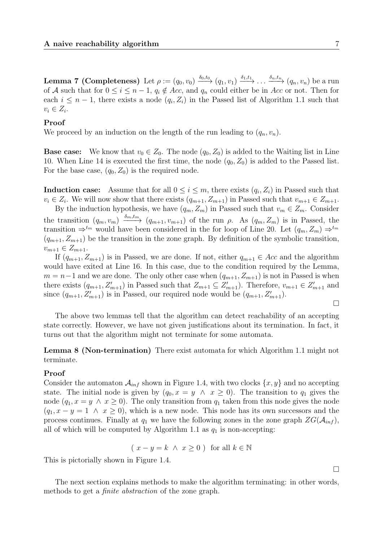**Lemma 7 (Completeness)** Let  $\rho := (q_0, v_0) \xrightarrow{\delta_0, t_0} (q_1, v_1) \xrightarrow{\delta_1, t_1} \ldots \xrightarrow{\delta_n, t_n} (q_n, v_n)$  be a run of A such that for  $0 \leq i \leq n-1$ ,  $q_i \notin Acc$ , and  $q_n$  could either be in Acc or not. Then for each  $i \leq n-1$ , there exists a node  $(q_i, Z_i)$  in the Passed list of Algorithm [1.1](#page-4-1) such that  $v_i \in Z_i$ .

### Proof

We proceed by an induction on the length of the run leading to  $(q_n, v_n)$ .

**Base case:** We know that  $v_0 \in Z_0$ . The node  $(q_0, Z_0)$  is added to the Waiting list in Line 10. When Line 14 is executed the first time, the node  $(q_0, Z_0)$  is added to the Passed list. For the base case,  $(q_0, Z_0)$  is the required node.

**Induction case:** Assume that for all  $0 \leq i \leq m$ , there exists  $(q_i, Z_i)$  in Passed such that  $v_i \in Z_i$ . We will now show that there exists  $(q_{m+1}, Z_{m+1})$  in Passed such that  $v_{m+1} \in Z_{m+1}$ .

By the induction hypothesis, we have  $(q_m, Z_m)$  in Passed such that  $v_m \in Z_m$ . Consider the transition  $(q_m, v_m) \xrightarrow{\delta_m, t_m} (q_{m+1}, v_{m+1})$  of the run  $\rho$ . As  $(q_m, Z_m)$  is in Passed, the transition  $\Rightarrow^{t_m}$  would have been considered in the for loop of Line 20. Let  $(q_m, Z_m) \Rightarrow^{t_m}$  $(q_{m+1}, Z_{m+1})$  be the transition in the zone graph. By definition of the symbolic transition,  $v_{m+1} \in Z_{m+1}.$ 

If  $(q_{m+1}, Z_{m+1})$  is in Passed, we are done. If not, either  $q_{m+1} \in Acc$  and the algorithm would have exited at Line 16. In this case, due to the condition required by the Lemma,  $m = n-1$  and we are done. The only other case when  $(q_{m+1}, Z_{m+1})$  is not in Passed is when there exists  $(q_{m+1}, Z'_{m+1})$  in Passed such that  $Z_{m+1} \subseteq Z'_{m+1}$ ). Therefore,  $v_{m+1} \in Z'_{m+1}$  and since  $(q_{m+1}, Z'_{m+1})$  is in Passed, our required node would be  $(q_{m+1}, Z'_{m+1})$ .

 $\Box$ 

The above two lemmas tell that the algorithm can detect reachability of an accepting state correctly. However, we have not given justifications about its termination. In fact, it turns out that the algorithm might not terminate for some automata.

Lemma 8 (Non-termination) There exist automata for which Algorithm [1.1](#page-4-1) might not terminate.

### Proof

Consider the automaton  $\mathcal{A}_{inf}$  shown in Figure [1.4,](#page-7-0) with two clocks  $\{x, y\}$  and no accepting state. The initial node is given by  $(q_0, x = y \land x \geq 0)$ . The transition to  $q_1$  gives the node  $(q_1, x = y \land x \ge 0)$ . The only transition from  $q_1$  taken from this node gives the node  $(q_1, x - y = 1 \land x \ge 0)$ , which is a new node. This node has its own successors and the process continues. Finally at  $q_1$  we have the following zones in the zone graph  $ZG(\mathcal{A}_{inf})$ , all of which will be computed by Algorithm [1.1](#page-4-1) as  $q_1$  is non-accepting:

$$
(x - y = k \land x \ge 0)
$$
 for all  $k \in \mathbb{N}$ 

This is pictorially shown in Figure [1.4.](#page-7-0)

The next section explains methods to make the algorithm terminating: in other words, methods to get a finite abstraction of the zone graph.

 $\Box$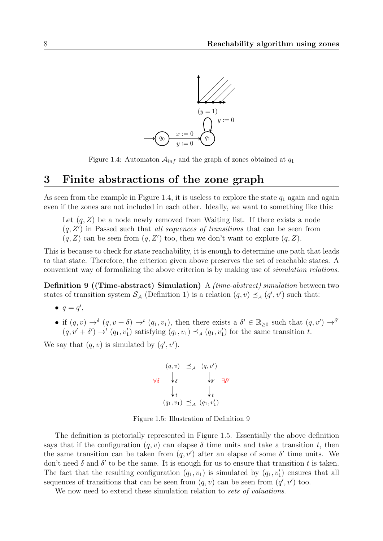<span id="page-7-0"></span>

Figure 1.4: Automaton  $A_{inf}$  and the graph of zones obtained at  $q_1$ 

### 3 Finite abstractions of the zone graph

As seen from the example in Figure [1.4,](#page-7-0) it is useless to explore the state  $q_1$  again and again even if the zones are not included in each other. Ideally, we want to something like this:

Let  $(q, Z)$  be a node newly removed from Waiting list. If there exists a node  $(q, Z')$  in Passed such that *all sequences of transitions* that can be seen from  $(q, Z)$  can be seen from  $(q, Z')$  too, then we don't want to explore  $(q, Z)$ .

This is because to check for state reachability, it is enough to determine one path that leads to that state. Therefore, the criterion given above preserves the set of reachable states. A convenient way of formalizing the above criterion is by making use of simulation relations.

<span id="page-7-1"></span>Definition 9 ((Time-abstract) Simulation) A (time-abstract) simulation between two states of transition system  $S_A$  (Definition [1\)](#page-1-2) is a relation  $(q, v) \preceq_A (q', v')$  such that:

- $q = q'$ ,
- if  $(q, v) \to^{\delta} (q, v + \delta) \to^t (q_1, v_1)$ , then there exists a  $\delta' \in \mathbb{R}_{\geq 0}$  such that  $(q, v') \to^{\delta'}$  $(q, v' + \delta') \rightarrow^{t} (q_1, v'_1)$  satisfying  $(q_1, v_1) \preceq_{\mathcal{A}} (q_1, v'_1)$  for the same transition t.

<span id="page-7-2"></span>We say that  $(q, v)$  is simulated by  $(q', v')$ .

$$
(q, v) \preceq_{\mathcal{A}} (q, v')
$$
  
\n
$$
\forall \delta \qquad \downarrow_{\delta} \qquad \qquad \downarrow_{\delta'} \qquad \exists \delta'
$$
  
\n
$$
\downarrow_{t} \qquad \qquad \downarrow_{t}
$$
  
\n
$$
(q_1, v_1) \preceq_{\mathcal{A}} (q_1, v'_1)
$$

Figure 1.5: Illustration of Definition [9](#page-7-1)

The definition is pictorially represented in Figure [1.5.](#page-7-2) Essentially the above definition says that if the configuration  $(q, v)$  can elapse  $\delta$  time units and take a transition t, then the same transition can be taken from  $(q, v')$  after an elapse of some  $\delta'$  time units. We don't need  $\delta$  and  $\delta'$  to be the same. It is enough for us to ensure that transition t is taken. The fact that the resulting configuration  $(q_1, v_1)$  is simulated by  $(q_1, v'_1)$  ensures that all sequences of transitions that can be seen from  $(q, v)$  can be seen from  $(q', v')$  too.

<span id="page-7-3"></span>We now need to extend these simulation relation to sets of valuations.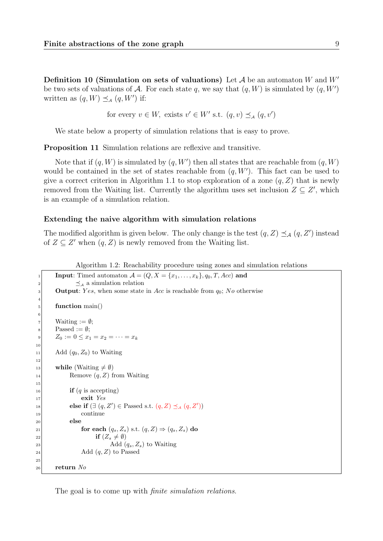**Definition 10 (Simulation on sets of valuations)** Let  $\mathcal A$  be an automaton W and  $W'$ be two sets of valuations of A. For each state q, we say that  $(q, W)$  is simulated by  $(q, W')$ written as  $(q, W) \preceq_A (q, W')$  if:

for every  $v \in W$ , exists  $v' \in W'$  s.t.  $(q, v) \preceq_A (q, v')$ 

We state below a property of simulation relations that is easy to prove.

Proposition 11 Simulation relations are reflexive and transitive.

Note that if  $(q, W)$  is simulated by  $(q, W')$  then all states that are reachable from  $(q, W)$ would be contained in the set of states reachable from  $(q, W')$ . This fact can be used to give a correct criterion in Algorithm [1.1](#page-4-1) to stop exploration of a zone  $(q, Z)$  that is newly removed from the Waiting list. Currently the algorithm uses set inclusion  $Z \subseteq Z'$ , which is an example of a simulation relation.

#### Extending the naive algorithm with simulation relations

The modified algorithm is given below. The only change is the test  $(q, Z) \preceq_{\mathcal{A}} (q, Z')$  instead of  $Z \subseteq Z'$  when  $(q, Z)$  is newly removed from the Waiting list.

| Algorithm 1.2: Reachability procedure using zones and simulation relations |  |  |  |  |  |
|----------------------------------------------------------------------------|--|--|--|--|--|
|                                                                            |  |  |  |  |  |
|                                                                            |  |  |  |  |  |

```
Input: Timed automaton A = (Q, X = \{x_1, \ldots, x_k\}, q_0, T, Acc) and
2 \leq_{\mathcal{A}} a simulation relation
3 Output: Yes, when some state in Acc is reachable from q_0; No otherwise
4
| function main()
6
|7| Waiting := \emptyset;
|8| Passed := \emptyset;
9 Z_0 := 0 \leq x_1 = x_2 = \cdots = x_k10
11 Add (q_0, Z_0) to Waiting
12
13 while (Waiting \neq \emptyset)
14 Remove (q, Z) from Waiting
15
\mathbf{if} (q is accepting)
|17| exit Yes
18 else if (\exists (q, Z') \in \text{Passed s.t. } (q, Z) \preceq_A (q, Z'))19 continue
20 else
21 for each (q_s, Z_s) s.t. (q, Z) \Rightarrow (q_s, Z_s) do
22 if (Z_s \neq \emptyset)\text{Add } (q_s, Z_s) \text{ to Waiting}_{24} Add (q, Z) to Passed
25
_{26} return No
```
The goal is to come up with *finite simulation relations*.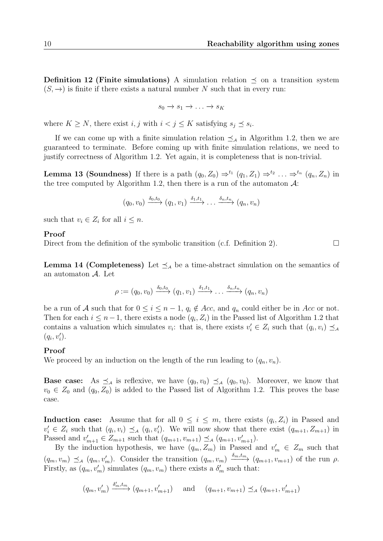**Definition 12 (Finite simulations)** A simulation relation  $\leq$  on a transition system  $(S, \rightarrow)$  is finite if there exists a natural number N such that in every run:

$$
s_0 \to s_1 \to \ldots \to s_K
$$

where  $K \geq N$ , there exist  $i, j$  with  $i < j \leq K$  satisfying  $s_j \preceq s_i$ .

If we can come up with a finite simulation relation  $\preceq_A$  in Algorithm [1.2,](#page-8-0) then we are guaranteed to terminate. Before coming up with finite simulation relations, we need to justify correctness of Algorithm [1.2.](#page-8-0) Yet again, it is completeness that is non-trivial.

**Lemma 13 (Soundness)** If there is a path  $(q_0, Z_0) \Rightarrow^{t_1} (q_1, Z_1) \Rightarrow^{t_2} \dots \Rightarrow^{t_n} (q_n, Z_n)$  in the tree computed by Algorithm [1.2,](#page-8-0) then there is a run of the automaton  $\mathcal{A}$ :

$$
(q_0, v_0) \xrightarrow{\delta_0, t_0} (q_1, v_1) \xrightarrow{\delta_1, t_1} \dots \xrightarrow{\delta_n, t_n} (q_n, v_n)
$$

such that  $v_i \in Z_i$  for all  $i \leq n$ .

#### Proof

Direct from the definition of the symbolic transition (c.f. Definition [2\)](#page-1-1).  $\Box$ 

**Lemma 14 (Completeness)** Let  $\leq_A$  be a time-abstract simulation on the semantics of an automaton A. Let

$$
\rho := (q_0, v_0) \xrightarrow{\delta_0, t_0} (q_1, v_1) \xrightarrow{\delta_1, t_1} \dots \xrightarrow{\delta_n, t_n} (q_n, v_n)
$$

be a run of A such that for  $0 \leq i \leq n-1$ ,  $q_i \notin Acc$ , and  $q_n$  could either be in Acc or not. Then for each  $i \leq n-1$ , there exists a node  $(q_i, Z_i)$  in the Passed list of Algorithm [1.2](#page-8-0) that contains a valuation which simulates  $v_i$ : that is, there exists  $v'_i \in Z_i$  such that  $(q_i, v_i) \preceq_{\mathcal{A}}$  $(q_i, v'_i).$ 

### Proof

We proceed by an induction on the length of the run leading to  $(q_n, v_n)$ .

**Base case:** As  $\preceq_A$  is reflexive, we have  $(q_0, v_0) \preceq_A (q_0, v_0)$ . Moreover, we know that  $v_0 \in Z_0$  and  $(q_0, Z_0)$  is added to the Passed list of Algorithm [1.2.](#page-8-0) This proves the base case.

**Induction case:** Assume that for all  $0 \leq i \leq m$ , there exists  $(q_i, Z_i)$  in Passed and  $v'_i \in Z_i$  such that  $(q_i, v_i) \preceq_A (q_i, v'_i)$ . We will now show that there exist  $(q_{m+1}, Z_{m+1})$  in Passed and  $v'_{m+1} \in Z_{m+1}$  such that  $(q_{m+1}, v_{m+1}) \preceq_A (q_{m+1}, v'_{m+1})$ .

By the induction hypothesis, we have  $(q_m, Z_m)$  in Passed and  $v'_m \in Z_m$  such that  $(q_m, v_m) \preceq_A (q_m, v'_m)$ . Consider the transition  $(q_m, v_m) \xrightarrow{\delta_m, t_m} (q_{m+1}, v_{m+1})$  of the run  $\rho$ . Firstly, as  $(q_m, v'_m)$  simulates  $(q_m, v_m)$  there exists a  $\delta'_m$  such that:

$$
(q_m, v'_m) \xrightarrow{\delta'_m, t_m} (q_{m+1}, v'_{m+1})
$$
 and  $(q_{m+1}, v_{m+1}) \preceq_A (q_{m+1}, v'_{m+1})$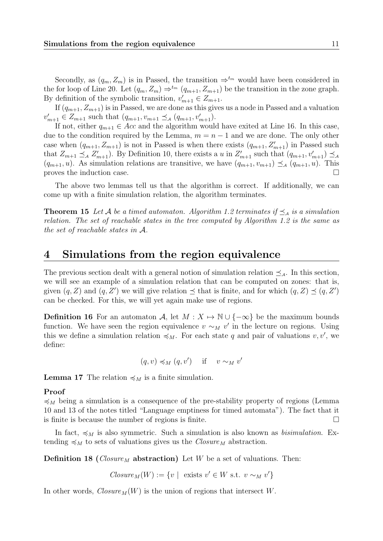Secondly, as  $(q_m, Z_m)$  is in Passed, the transition  $\Rightarrow^{t_m}$  would have been considered in the for loop of Line 20. Let  $(q_m, Z_m) \Rightarrow^{t_m} (q_{m+1}, Z_{m+1})$  be the transition in the zone graph. By definition of the symbolic transition,  $v'_{m+1} \in Z_{m+1}$ .

If  $(q_{m+1}, Z_{m+1})$  is in Passed, we are done as this gives us a node in Passed and a valuation  $v'_{m+1} \in Z_{m+1}$  such that  $(q_{m+1}, v_{m+1} \preceq_A (q_{m+1}, v'_{m+1}).$ 

If not, either  $q_{m+1} \in Acc$  and the algorithm would have exited at Line 16. In this case, due to the condition required by the Lemma,  $m = n - 1$  and we are done. The only other case when  $(q_{m+1}, Z_{m+1})$  is not in Passed is when there exists  $(q_{m+1}, Z_{m+1}')$  in Passed such that  $Z_{m+1} \preceq_A Z'_{m+1}$ . By Definition [10,](#page-7-3) there exists a u in  $Z'_{m+1}$  such that  $(q_{m+1}, v'_{m+1}) \preceq_A q_m$  $(q_{m+1}, u)$ . As simulation relations are transitive, we have  $(q_{m+1}, v_{m+1}) \preceq_A (q_{m+1}, u)$ . This proves the induction case.

The above two lemmas tell us that the algorithm is correct. If additionally, we can come up with a finite simulation relation, the algorithm terminates.

<span id="page-10-3"></span>**Theorem 15** Let A be a timed automaton. Algorithm [1.2](#page-8-0) terminates if  $\leq_A$  is a simulation relation. The set of reachable states in the tree computed by Algorithm [1.2](#page-8-0) is the same as the set of reachable states in A.

### 4 Simulations from the region equivalence

The previous section dealt with a general notion of simulation relation  $\preceq_{\mathcal{A}}$ . In this section, we will see an example of a simulation relation that can be computed on zones: that is, given  $(q, Z)$  and  $(q, Z')$  we will give relation  $\preceq$  that is finite, and for which  $(q, Z) \preceq (q, Z')$ can be checked. For this, we will yet again make use of regions.

<span id="page-10-1"></span>**Definition 16** For an automaton A, let  $M : X \to \mathbb{N} \cup \{-\infty\}$  be the maximum bounds function. We have seen the region equivalence  $v \sim_M v'$  in the lecture on regions. Using this we define a simulation relation  $\preccurlyeq_M$ . For each state q and pair of valuations  $v, v'$ , we define:

$$
(q, v) \preccurlyeq_M (q, v') \quad \text{if} \quad v \sim_M v'
$$

<span id="page-10-2"></span>**Lemma 17** The relation  $\preccurlyeq_M$  is a finite simulation.

### Proof

 $\preccurlyeq_M$  being a simulation is a consequence of the pre-stability property of regions (Lemma 10 and 13 of the notes titled "Language emptiness for timed automata"). The fact that it is finite is because the number of regions is finite.  $\Box$ 

In fact,  $\preccurlyeq_M$  is also symmetric. Such a simulation is also known as *bisimulation*. Extending  $\preccurlyeq_M$  to sets of valuations gives us the  $Closure_M$  abstraction.

<span id="page-10-0"></span>**Definition 18** (*Closure<sub>M</sub>* abstraction) Let W be a set of valuations. Then:

$$
Closure_M(W) := \{ v \mid \text{ exists } v' \in W \text{ s.t. } v \sim_M v' \}
$$

In other words,  $Closure_M(W)$  is the union of regions that intersect W.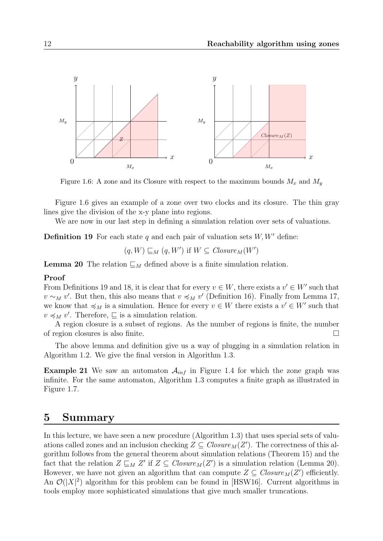<span id="page-11-0"></span>

Figure 1.6: A zone and its Closure with respect to the maximum bounds  $M_x$  and  $M_y$ 

Figure [1.6](#page-11-0) gives an example of a zone over two clocks and its closure. The thin gray lines give the division of the x-y plane into regions.

We are now in our last step in defining a simulation relation over sets of valuations.

<span id="page-11-1"></span>**Definition 19** For each state q and each pair of valuation sets  $W, W'$  define:

$$
(q, W) \sqsubseteq_M (q, W')
$$
 if  $W \subseteq Closure_M(W')$ 

<span id="page-11-2"></span>**Lemma 20** The relation  $\mathcal{L}_M$  defined above is a finite simulation relation.

#### Proof

From Definitions [19](#page-11-1) and [18,](#page-10-0) it is clear that for every  $v \in W$ , there exists a  $v' \in W'$  such that  $v \sim_M v'$ . But then, this also means that  $v \preccurlyeq_M v'$  (Definition [16\)](#page-10-1). Finally from Lemma [17,](#page-10-2) we know that  $\preccurlyeq_M$  is a simulation. Hence for every  $v \in W$  there exists a  $v' \in W'$  such that  $v \preccurlyeq_M v'$ . Therefore,  $\sqsubseteq$  is a simulation relation.

A region closure is a subset of regions. As the number of regions is finite, the number of region closures is also finite.

The above lemma and definition give us a way of plugging in a simulation relation in Algorithm [1.2.](#page-8-0) We give the final version in Algorithm [1.3.](#page-12-0)

**Example 21** We saw an automaton  $A_{inf}$  in Figure [1.4](#page-7-0) for which the zone graph was infinite. For the same automaton, Algorithm [1.3](#page-12-0) computes a finite graph as illustrated in Figure [1.7.](#page-12-1)

### 5 Summary

In this lecture, we have seen a new procedure (Algorithm [1.3\)](#page-12-0) that uses special sets of valuations called zones and an inclusion checking  $Z \subseteq Closure_M(Z')$ . The correctness of this algorithm follows from the general theorem about simulation relations (Theorem [15\)](#page-10-3) and the fact that the relation  $Z \sqsubseteq_M Z'$  if  $Z \subseteq Closure_M(Z')$  is a simulation relation (Lemma [20\)](#page-11-2). However, we have not given an algorithm that can compute  $Z \subseteq \mathit{Closure}_M(Z')$  efficiently. An  $\mathcal{O}(|X|^2)$  algorithm for this problem can be found in [\[HSW16\]](#page-13-3). Current algorithms in tools employ more sophisticated simulations that give much smaller truncations.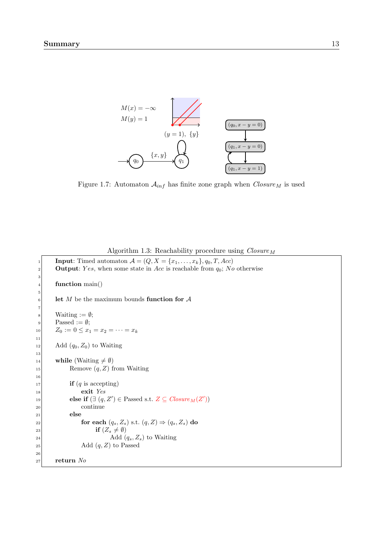<span id="page-12-1"></span>

Figure 1.7: Automaton  $\mathcal{A}_{inf}$  has finite zone graph when  $\it Closure_{M}$  is used

<span id="page-12-0"></span>

|        | $\alpha$ and $\alpha$ is the magnetic density $\alpha$ and $\alpha$ and $\alpha$     |
|--------|--------------------------------------------------------------------------------------|
| 1      | <b>Input:</b> Timed automaton $A = (Q, X = \{x_1, \ldots, x_k\}, q_0, T, Acc)$       |
| 2      | <b>Output:</b> Yes, when some state in Acc is reachable from $q_0$ ; No otherwise    |
| 3<br>4 | function $\text{main}()$                                                             |
| 5      |                                                                                      |
| 6      | let M be the maximum bounds function for $A$                                         |
| 7      |                                                                                      |
| 8      | Waiting $:= \emptyset$ ;                                                             |
| 9      | Passed := $\emptyset$ ;                                                              |
| 10     | $Z_0 := 0 \leq x_1 = x_2 = \cdots = x_k$                                             |
| 11     |                                                                                      |
| 12     | Add $(q_0, Z_0)$ to Waiting                                                          |
| 13     |                                                                                      |
| 14     | while (Waiting $\neq \emptyset$ )                                                    |
| 15     | Remove $(q, Z)$ from Waiting                                                         |
| 16     |                                                                                      |
| 17     | <b>if</b> $(q$ is accepting)                                                         |
| 18     | exit Yes                                                                             |
| 19     | else if $(\exists (q, Z') \in \text{Passed s.t. } Z \subseteq \text{Closure}_M(Z'))$ |
| 20     | continue                                                                             |
| 21     | else                                                                                 |
| 22     | for each $(q_s, Z_s)$ s.t. $(q, Z) \Rightarrow (q_s, Z_s)$ do                        |
| 23     | if $(Z_s \neq \emptyset)$                                                            |
| 24     | Add $(q_s, Z_s)$ to Waiting                                                          |
| 25     | Add $(q, Z)$ to Passed                                                               |
| 26     |                                                                                      |
| 27     | return $No$                                                                          |
|        |                                                                                      |

Algorithm 1.3: Reachability procedure using  $\textit{Closure}_M$